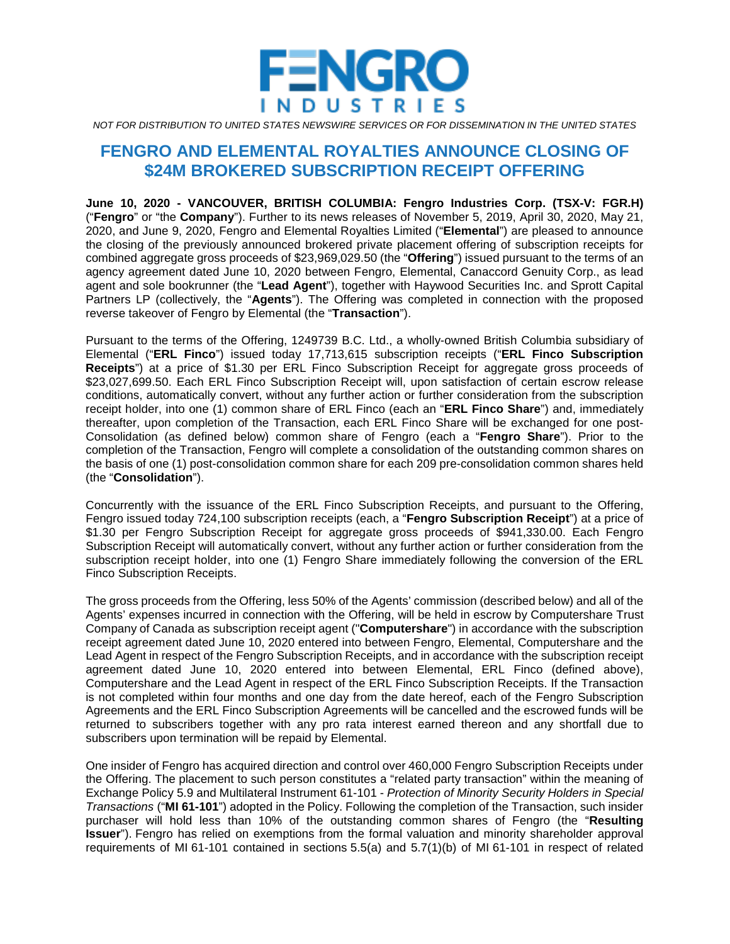

*NOT FOR DISTRIBUTION TO UNITED STATES NEWSWIRE SERVICES OR FOR DISSEMINATION IN THE UNITED STATES*

# **FENGRO AND ELEMENTAL ROYALTIES ANNOUNCE CLOSING OF \$24M BROKERED SUBSCRIPTION RECEIPT OFFERING**

**June 10, 2020 - VANCOUVER, BRITISH COLUMBIA: Fengro Industries Corp. (TSX-V: FGR.H)**  ("**Fengro**" or "the **Company**"). Further to its news releases of November 5, 2019, April 30, 2020, May 21, 2020, and June 9, 2020, Fengro and Elemental Royalties Limited ("**Elemental**") are pleased to announce the closing of the previously announced brokered private placement offering of subscription receipts for combined aggregate gross proceeds of \$23,969,029.50 (the "**Offering**") issued pursuant to the terms of an agency agreement dated June 10, 2020 between Fengro, Elemental, Canaccord Genuity Corp., as lead agent and sole bookrunner (the "**Lead Agent**"), together with Haywood Securities Inc. and Sprott Capital Partners LP (collectively, the "**Agents**"). The Offering was completed in connection with the proposed reverse takeover of Fengro by Elemental (the "**Transaction**").

Pursuant to the terms of the Offering, 1249739 B.C. Ltd., a wholly-owned British Columbia subsidiary of Elemental ("**ERL Finco**") issued today 17,713,615 subscription receipts ("**ERL Finco Subscription Receipts**") at a price of \$1.30 per ERL Finco Subscription Receipt for aggregate gross proceeds of \$23,027,699.50. Each ERL Finco Subscription Receipt will, upon satisfaction of certain escrow release conditions, automatically convert, without any further action or further consideration from the subscription receipt holder, into one (1) common share of ERL Finco (each an "**ERL Finco Share**") and, immediately thereafter, upon completion of the Transaction, each ERL Finco Share will be exchanged for one post-Consolidation (as defined below) common share of Fengro (each a "**Fengro Share**"). Prior to the completion of the Transaction, Fengro will complete a consolidation of the outstanding common shares on the basis of one (1) post-consolidation common share for each 209 pre-consolidation common shares held (the "**Consolidation**").

Concurrently with the issuance of the ERL Finco Subscription Receipts, and pursuant to the Offering, Fengro issued today 724,100 subscription receipts (each, a "**Fengro Subscription Receipt**") at a price of \$1.30 per Fengro Subscription Receipt for aggregate gross proceeds of \$941,330.00. Each Fengro Subscription Receipt will automatically convert, without any further action or further consideration from the subscription receipt holder, into one (1) Fengro Share immediately following the conversion of the ERL Finco Subscription Receipts.

The gross proceeds from the Offering, less 50% of the Agents' commission (described below) and all of the Agents' expenses incurred in connection with the Offering, will be held in escrow by Computershare Trust Company of Canada as subscription receipt agent ("**Computershare**") in accordance with the subscription receipt agreement dated June 10, 2020 entered into between Fengro, Elemental, Computershare and the Lead Agent in respect of the Fengro Subscription Receipts, and in accordance with the subscription receipt agreement dated June 10, 2020 entered into between Elemental, ERL Finco (defined above), Computershare and the Lead Agent in respect of the ERL Finco Subscription Receipts. If the Transaction is not completed within four months and one day from the date hereof, each of the Fengro Subscription Agreements and the ERL Finco Subscription Agreements will be cancelled and the escrowed funds will be returned to subscribers together with any pro rata interest earned thereon and any shortfall due to subscribers upon termination will be repaid by Elemental.

One insider of Fengro has acquired direction and control over 460,000 Fengro Subscription Receipts under the Offering. The placement to such person constitutes a "related party transaction" within the meaning of Exchange Policy 5.9 and Multilateral Instrument 61-101 - *Protection of Minority Security Holders in Special Transactions* ("**MI 61-101**") adopted in the Policy. Following the completion of the Transaction, such insider purchaser will hold less than 10% of the outstanding common shares of Fengro (the "**Resulting Issuer**"). Fengro has relied on exemptions from the formal valuation and minority shareholder approval requirements of MI 61-101 contained in sections 5.5(a) and 5.7(1)(b) of MI 61-101 in respect of related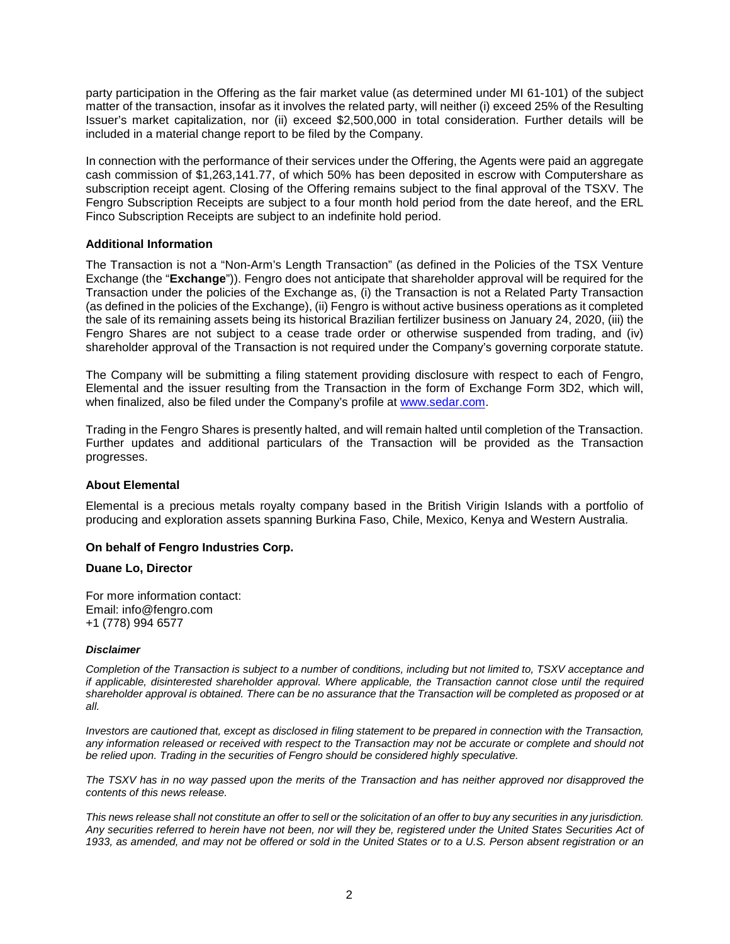party participation in the Offering as the fair market value (as determined under MI 61-101) of the subject matter of the transaction, insofar as it involves the related party, will neither (i) exceed 25% of the Resulting Issuer's market capitalization, nor (ii) exceed \$2,500,000 in total consideration. Further details will be included in a material change report to be filed by the Company.

In connection with the performance of their services under the Offering, the Agents were paid an aggregate cash commission of \$1,263,141.77, of which 50% has been deposited in escrow with Computershare as subscription receipt agent. Closing of the Offering remains subject to the final approval of the TSXV. The Fengro Subscription Receipts are subject to a four month hold period from the date hereof, and the ERL Finco Subscription Receipts are subject to an indefinite hold period.

## **Additional Information**

The Transaction is not a "Non-Arm's Length Transaction" (as defined in the Policies of the TSX Venture Exchange (the "**Exchange**")). Fengro does not anticipate that shareholder approval will be required for the Transaction under the policies of the Exchange as, (i) the Transaction is not a Related Party Transaction (as defined in the policies of the Exchange), (ii) Fengro is without active business operations as it completed the sale of its remaining assets being its historical Brazilian fertilizer business on January 24, 2020, (iii) the Fengro Shares are not subject to a cease trade order or otherwise suspended from trading, and (iv) shareholder approval of the Transaction is not required under the Company's governing corporate statute.

The Company will be submitting a filing statement providing disclosure with respect to each of Fengro, Elemental and the issuer resulting from the Transaction in the form of Exchange Form 3D2, which will, when finalized, also be filed under the Company's profile at [www.sedar.com.](http://www.sedar.com/)

Trading in the Fengro Shares is presently halted, and will remain halted until completion of the Transaction. Further updates and additional particulars of the Transaction will be provided as the Transaction progresses.

## **About Elemental**

Elemental is a precious metals royalty company based in the British Virigin Islands with a portfolio of producing and exploration assets spanning Burkina Faso, Chile, Mexico, Kenya and Western Australia.

## **On behalf of Fengro Industries Corp.**

## **Duane Lo, Director**

For more information contact: Email: info@fengro.com +1 (778) 994 6577

#### *Disclaimer*

*Completion of the Transaction is subject to a number of conditions, including but not limited to, TSXV acceptance and if applicable, disinterested shareholder approval. Where applicable, the Transaction cannot close until the required shareholder approval is obtained. There can be no assurance that the Transaction will be completed as proposed or at all.*

*Investors are cautioned that, except as disclosed in filing statement to be prepared in connection with the Transaction,*  any information released or received with respect to the Transaction may not be accurate or complete and should not *be relied upon. Trading in the securities of Fengro should be considered highly speculative.*

*The TSXV has in no way passed upon the merits of the Transaction and has neither approved nor disapproved the contents of this news release.*

*This news release shall not constitute an offer to sell or the solicitation of an offer to buy any securities in any jurisdiction. Any securities referred to herein have not been, nor will they be, registered under the United States Securities Act of*  1933, as amended, and may not be offered or sold in the United States or to a U.S. Person absent registration or an